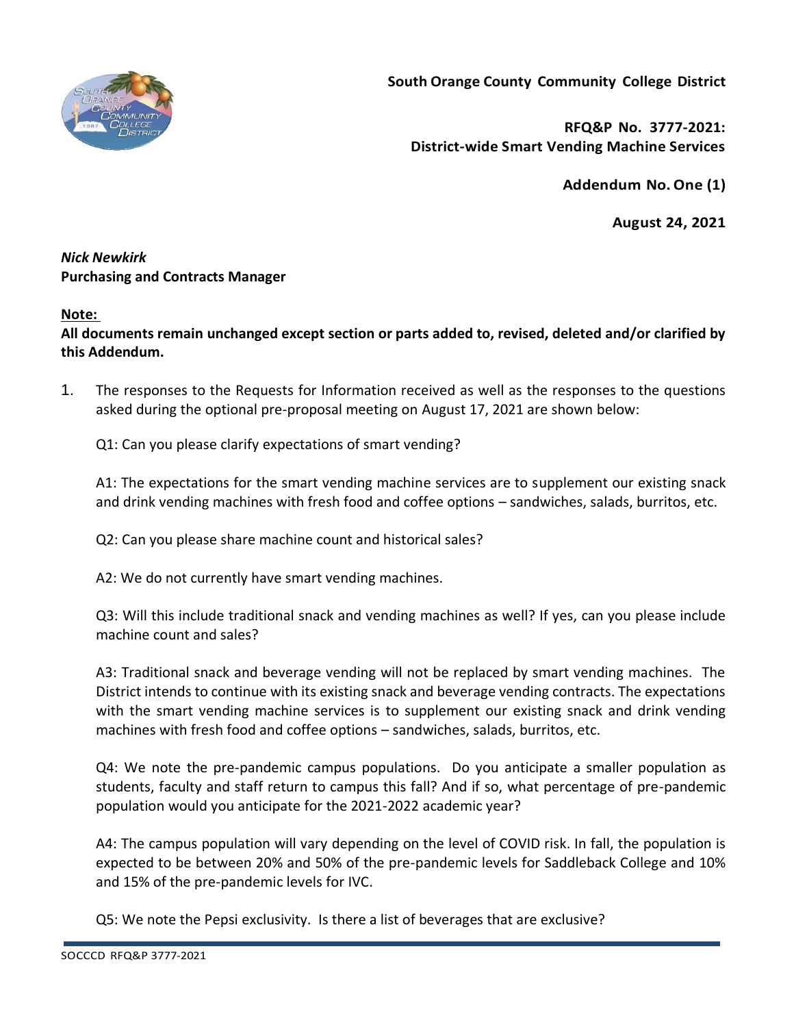

**South Orange County Community College District**

**RFQ&P No. 3777-2021: District-wide Smart Vending Machine Services**

**Addendum No.One (1)**

**August 24, 2021**

## *Nick Newkirk*  **Purchasing and Contracts Manager**

## **Note:**

**All documents remain unchanged except section or parts added to, revised, deleted and/or clarified by this Addendum.**

1. The responses to the Requests for Information received as well as the responses to the questions asked during the optional pre-proposal meeting on August 17, 2021 are shown below:

Q1: Can you please clarify expectations of smart vending?

A1: The expectations for the smart vending machine services are to supplement our existing snack and drink vending machines with fresh food and coffee options – sandwiches, salads, burritos, etc.

Q2: Can you please share machine count and historical sales?

A2: We do not currently have smart vending machines.

Q3: Will this include traditional snack and vending machines as well? If yes, can you please include machine count and sales?

A3: Traditional snack and beverage vending will not be replaced by smart vending machines. The District intends to continue with its existing snack and beverage vending contracts. The expectations with the smart vending machine services is to supplement our existing snack and drink vending machines with fresh food and coffee options – sandwiches, salads, burritos, etc.

Q4: We note the pre-pandemic campus populations. Do you anticipate a smaller population as students, faculty and staff return to campus this fall? And if so, what percentage of pre-pandemic population would you anticipate for the 2021-2022 academic year?

A4: The campus population will vary depending on the level of COVID risk. In fall, the population is expected to be between 20% and 50% of the pre-pandemic levels for Saddleback College and 10% and 15% of the pre-pandemic levels for IVC.

Q5: We note the Pepsi exclusivity. Is there a list of beverages that are exclusive?